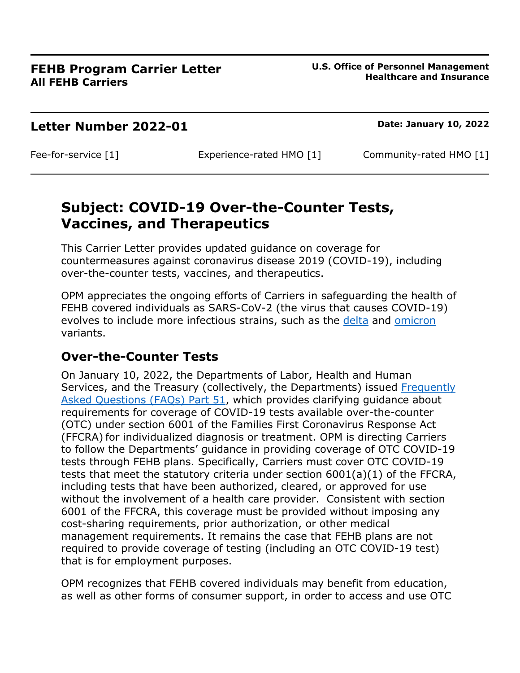#### **Letter Number 2022-01 Date: January 10, 2022**

Fee-for-service [1] Experience-rated HMO [1] Community-rated HMO [1]

# **Subject: COVID-19 Over-the-Counter Tests, Vaccines, and Therapeutics**

This Carrier Letter provides updated guidance on coverage for countermeasures against coronavirus disease 2019 (COVID-19), including over-the-counter tests, vaccines, and therapeutics.

OPM appreciates the ongoing efforts of Carriers in safeguarding the health of FEHB covered individuals as SARS-CoV-2 (the virus that causes COVID-19) evolves to include more infectious strains, such as the [delta](https://www.cdc.gov/coronavirus/2019-ncov/variants/delta-variant.html) and [omicron](https://www.cdc.gov/coronavirus/2019-ncov/variants/omicron-variant.html) variants.

## **Over-the-Counter Tests**

On January 10, 2022, the Departments of Labor, Health and Human Services, and the Treasury (collectively, the Departments) issued Frequently [Asked Questions \(FAQs\) Part 51,](https://www.dol.gov/sites/dolgov/files/EBSA/about-ebsa/our-activities/resource-center/faqs/aca-part-51.pdf) which provides clarifying guidance about requirements for coverage of COVID-19 tests available over-the-counter (OTC) under section 6001 of the Families First Coronavirus Response Act (FFCRA) for individualized diagnosis or treatment. OPM is directing Carriers to follow the Departments' guidance in providing coverage of OTC COVID-19 tests through FEHB plans. Specifically, Carriers must cover OTC COVID-19 tests that meet the statutory criteria under section 6001(a)(1) of the FFCRA, including tests that have been authorized, cleared, or approved for use without the involvement of a health care provider. Consistent with section 6001 of the FFCRA, this coverage must be provided without imposing any cost-sharing requirements, prior authorization, or other medical management requirements. It remains the case that FEHB plans are not required to provide coverage of testing (including an OTC COVID-19 test) that is for employment purposes.

OPM recognizes that FEHB covered individuals may benefit from education, as well as other forms of consumer support, in order to access and use OTC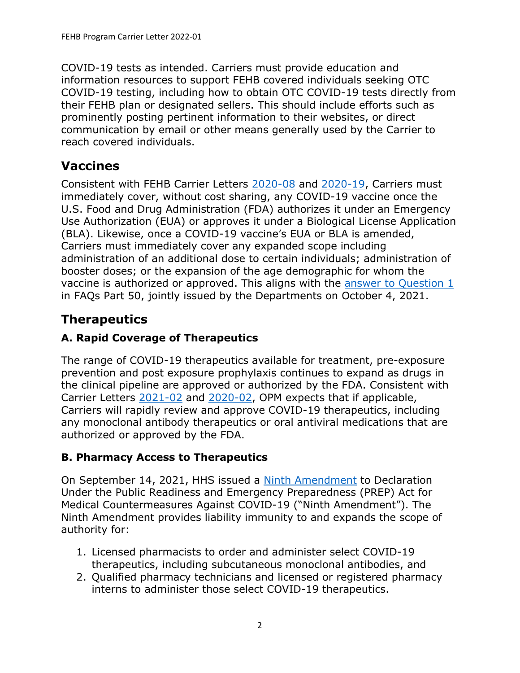COVID-19 tests as intended. Carriers must provide education and information resources to support FEHB covered individuals seeking OTC COVID-19 testing, including how to obtain OTC COVID-19 tests directly from their FEHB plan or designated sellers. This should include efforts such as prominently posting pertinent information to their websites, or direct communication by email or other means generally used by the Carrier to reach covered individuals.

## **Vaccines**

Consistent with FEHB Carrier Letters [2020-08](https://www.opm.gov/healthcare-insurance/healthcare/carriers/2020/2020-08.pdf) and [2020-19,](https://www.opm.gov/healthcare-insurance/healthcare/carriers/2020/2020-19.pdf) Carriers must immediately cover, without cost sharing, any COVID-19 vaccine once the U.S. Food and Drug Administration (FDA) authorizes it under an Emergency Use Authorization (EUA) or approves it under a Biological License Application (BLA). Likewise, once a COVID-19 vaccine's EUA or BLA is amended, Carriers must immediately cover any expanded scope including administration of an additional dose to certain individuals; administration of booster doses; or the expansion of the age demographic for whom the vaccine is authorized or approved. This aligns with the [answer to Question 1](https://www.dol.gov/sites/dolgov/files/EBSA/about-ebsa/our-activities/resource-center/faqs/aca-part-50.pdf#page=2) in FAQs Part 50, jointly issued by the Departments on October 4, 2021.

# **Therapeutics**

### **A. Rapid Coverage of Therapeutics**

The range of COVID-19 therapeutics available for treatment, pre-exposure prevention and post exposure prophylaxis continues to expand as drugs in the clinical pipeline are approved or authorized by the FDA. Consistent with Carrier Letters [2021-02](https://www.opm.gov/healthcare-insurance/healthcare/carriers/2021/2021-02.pdf) and [2020-02,](https://www.opm.gov/healthcare-insurance/healthcare/carriers/2020/2020-02.pdf) OPM expects that if applicable, Carriers will rapidly review and approve COVID-19 therapeutics, including any monoclonal antibody therapeutics or oral antiviral medications that are authorized or approved by the FDA.

#### **B. Pharmacy Access to Therapeutics**

On September 14, 2021, HHS issued a [Ninth Amendment](https://www.federalregister.gov/d/2021-19790) to Declaration Under the Public Readiness and Emergency Preparedness (PREP) Act for Medical Countermeasures Against COVID-19 ("Ninth Amendment"). The Ninth Amendment provides liability immunity to and expands the scope of authority for:

- 1. Licensed pharmacists to order and administer select COVID-19 therapeutics, including subcutaneous monoclonal antibodies, and
- 2. Qualified pharmacy technicians and licensed or registered pharmacy interns to administer those select COVID-19 therapeutics.